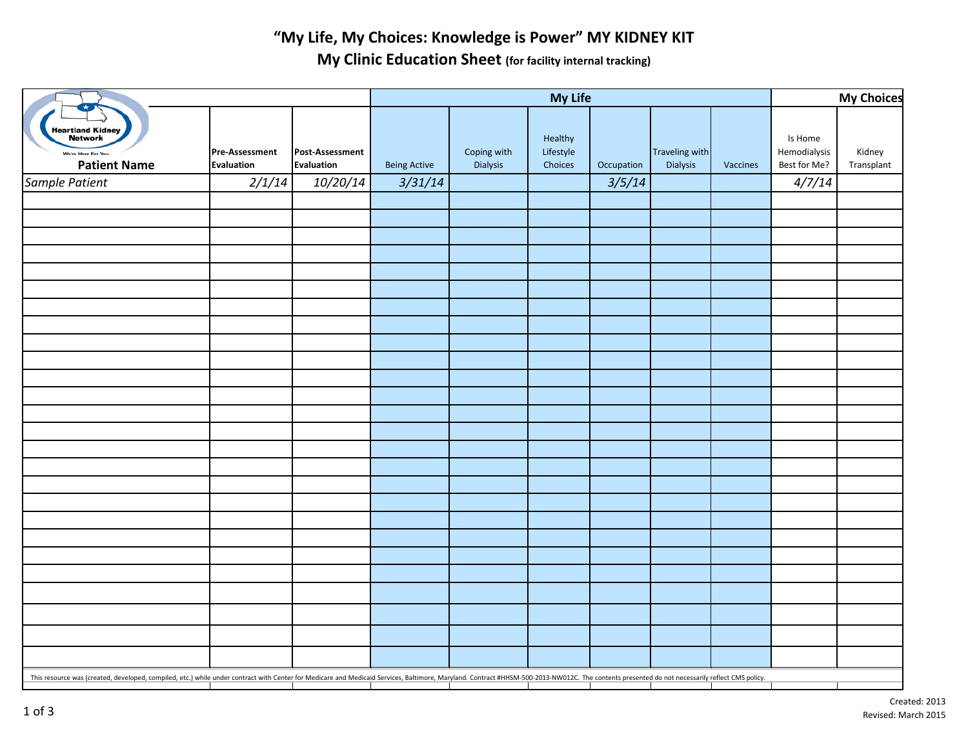## **"My Life, My Choices: Knowledge is Power" MY KIDNEY KIT**

**My Clinic Education Sheet (for facility internal tracking)**

|                                                                                                                                                                                                                                | My Life                                    |                               |                     |                         |                                 |            |                                   | <b>My Choices</b> |                                         |                      |
|--------------------------------------------------------------------------------------------------------------------------------------------------------------------------------------------------------------------------------|--------------------------------------------|-------------------------------|---------------------|-------------------------|---------------------------------|------------|-----------------------------------|-------------------|-----------------------------------------|----------------------|
| Heartland Kidney<br>Network<br>We're Here For You.<br><b>Patient Name</b>                                                                                                                                                      | <b>Pre-Assessment</b><br><b>Evaluation</b> | Post-Assessment<br>Evaluation | <b>Being Active</b> | Coping with<br>Dialysis | Healthy<br>Lifestyle<br>Choices | Occupation | <b>Traveling with</b><br>Dialysis | Vaccines          | Is Home<br>Hemodialysis<br>Best for Me? | Kidney<br>Transplant |
| Sample Patient                                                                                                                                                                                                                 | 2/1/14                                     | 10/20/14                      | 3/31/14             |                         |                                 | 3/5/14     |                                   |                   | 4/7/14                                  |                      |
|                                                                                                                                                                                                                                |                                            |                               |                     |                         |                                 |            |                                   |                   |                                         |                      |
|                                                                                                                                                                                                                                |                                            |                               |                     |                         |                                 |            |                                   |                   |                                         |                      |
|                                                                                                                                                                                                                                |                                            |                               |                     |                         |                                 |            |                                   |                   |                                         |                      |
|                                                                                                                                                                                                                                |                                            |                               |                     |                         |                                 |            |                                   |                   |                                         |                      |
|                                                                                                                                                                                                                                |                                            |                               |                     |                         |                                 |            |                                   |                   |                                         |                      |
|                                                                                                                                                                                                                                |                                            |                               |                     |                         |                                 |            |                                   |                   |                                         |                      |
|                                                                                                                                                                                                                                |                                            |                               |                     |                         |                                 |            |                                   |                   |                                         |                      |
|                                                                                                                                                                                                                                |                                            |                               |                     |                         |                                 |            |                                   |                   |                                         |                      |
|                                                                                                                                                                                                                                |                                            |                               |                     |                         |                                 |            |                                   |                   |                                         |                      |
|                                                                                                                                                                                                                                |                                            |                               |                     |                         |                                 |            |                                   |                   |                                         |                      |
|                                                                                                                                                                                                                                |                                            |                               |                     |                         |                                 |            |                                   |                   |                                         |                      |
|                                                                                                                                                                                                                                |                                            |                               |                     |                         |                                 |            |                                   |                   |                                         |                      |
|                                                                                                                                                                                                                                |                                            |                               |                     |                         |                                 |            |                                   |                   |                                         |                      |
|                                                                                                                                                                                                                                |                                            |                               |                     |                         |                                 |            |                                   |                   |                                         |                      |
|                                                                                                                                                                                                                                |                                            |                               |                     |                         |                                 |            |                                   |                   |                                         |                      |
|                                                                                                                                                                                                                                |                                            |                               |                     |                         |                                 |            |                                   |                   |                                         |                      |
|                                                                                                                                                                                                                                |                                            |                               |                     |                         |                                 |            |                                   |                   |                                         |                      |
|                                                                                                                                                                                                                                |                                            |                               |                     |                         |                                 |            |                                   |                   |                                         |                      |
|                                                                                                                                                                                                                                |                                            |                               |                     |                         |                                 |            |                                   |                   |                                         |                      |
|                                                                                                                                                                                                                                |                                            |                               |                     |                         |                                 |            |                                   |                   |                                         |                      |
|                                                                                                                                                                                                                                |                                            |                               |                     |                         |                                 |            |                                   |                   |                                         |                      |
|                                                                                                                                                                                                                                |                                            |                               |                     |                         |                                 |            |                                   |                   |                                         |                      |
|                                                                                                                                                                                                                                |                                            |                               |                     |                         |                                 |            |                                   |                   |                                         |                      |
|                                                                                                                                                                                                                                |                                            |                               |                     |                         |                                 |            |                                   |                   |                                         |                      |
|                                                                                                                                                                                                                                |                                            |                               |                     |                         |                                 |            |                                   |                   |                                         |                      |
|                                                                                                                                                                                                                                |                                            |                               |                     |                         |                                 |            |                                   |                   |                                         |                      |
| This resource was (created, developed, compiled, etc.) while under contract with Center for Medicare and Medicaid Services, Baltimore, Maryland. Contract #HHSM-500-2013-NW012C. The contents presented do not necessarily ref |                                            |                               |                     |                         |                                 |            |                                   |                   |                                         |                      |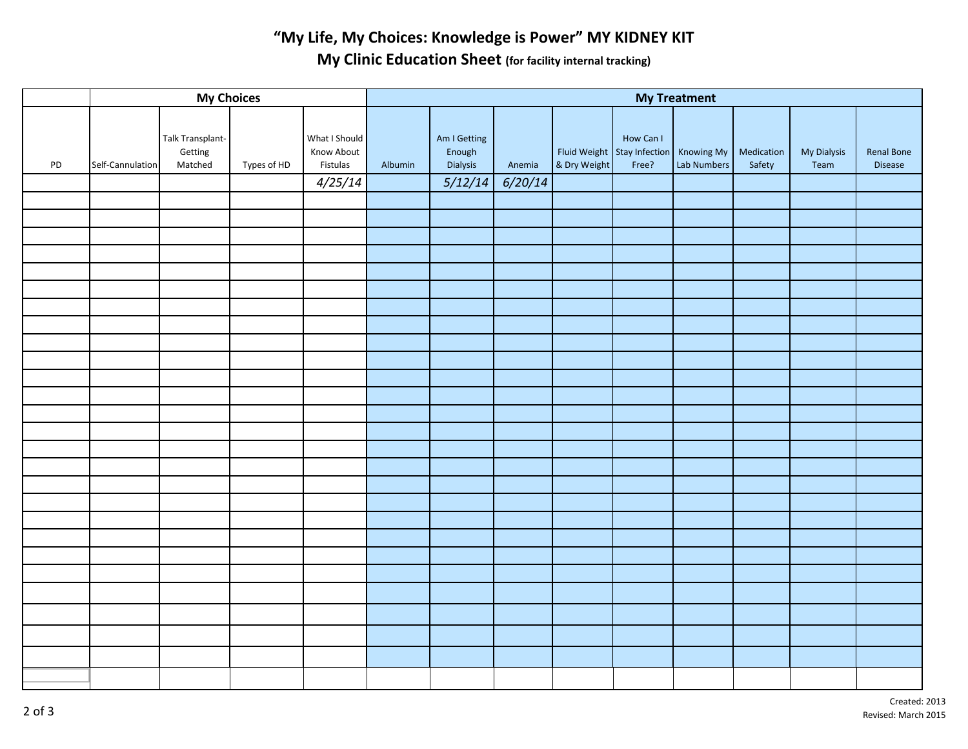## **"My Life, My Choices: Knowledge is Power" MY KIDNEY KIT My Clinic Education Sheet (for facility internal tracking)**

| <b>My Choices</b> |                  |                                        |             |                                         | <b>My Treatment</b> |                                    |         |              |                                                              |             |                      |                     |                       |  |
|-------------------|------------------|----------------------------------------|-------------|-----------------------------------------|---------------------|------------------------------------|---------|--------------|--------------------------------------------------------------|-------------|----------------------|---------------------|-----------------------|--|
| PD                | Self-Cannulation | Talk Transplant-<br>Getting<br>Matched | Types of HD | What I Should<br>Know About<br>Fistulas | Albumin             | Am I Getting<br>Enough<br>Dialysis | Anemia  | & Dry Weight | How Can I<br>Fluid Weight Stay Infection Knowing My<br>Free? | Lab Numbers | Medication<br>Safety | My Dialysis<br>Team | Renal Bone<br>Disease |  |
|                   |                  |                                        |             | 4/25/14                                 |                     | 5/12/14                            | 6/20/14 |              |                                                              |             |                      |                     |                       |  |
|                   |                  |                                        |             |                                         |                     |                                    |         |              |                                                              |             |                      |                     |                       |  |
|                   |                  |                                        |             |                                         |                     |                                    |         |              |                                                              |             |                      |                     |                       |  |
|                   |                  |                                        |             |                                         |                     |                                    |         |              |                                                              |             |                      |                     |                       |  |
|                   |                  |                                        |             |                                         |                     |                                    |         |              |                                                              |             |                      |                     |                       |  |
|                   |                  |                                        |             |                                         |                     |                                    |         |              |                                                              |             |                      |                     |                       |  |
|                   |                  |                                        |             |                                         |                     |                                    |         |              |                                                              |             |                      |                     |                       |  |
|                   |                  |                                        |             |                                         |                     |                                    |         |              |                                                              |             |                      |                     |                       |  |
|                   |                  |                                        |             |                                         |                     |                                    |         |              |                                                              |             |                      |                     |                       |  |
|                   |                  |                                        |             |                                         |                     |                                    |         |              |                                                              |             |                      |                     |                       |  |
|                   |                  |                                        |             |                                         |                     |                                    |         |              |                                                              |             |                      |                     |                       |  |
|                   |                  |                                        |             |                                         |                     |                                    |         |              |                                                              |             |                      |                     |                       |  |
|                   |                  |                                        |             |                                         |                     |                                    |         |              |                                                              |             |                      |                     |                       |  |
|                   |                  |                                        |             |                                         |                     |                                    |         |              |                                                              |             |                      |                     |                       |  |
|                   |                  |                                        |             |                                         |                     |                                    |         |              |                                                              |             |                      |                     |                       |  |
|                   |                  |                                        |             |                                         |                     |                                    |         |              |                                                              |             |                      |                     |                       |  |
|                   |                  |                                        |             |                                         |                     |                                    |         |              |                                                              |             |                      |                     |                       |  |
|                   |                  |                                        |             |                                         |                     |                                    |         |              |                                                              |             |                      |                     |                       |  |
|                   |                  |                                        |             |                                         |                     |                                    |         |              |                                                              |             |                      |                     |                       |  |
|                   |                  |                                        |             |                                         |                     |                                    |         |              |                                                              |             |                      |                     |                       |  |
|                   |                  |                                        |             |                                         |                     |                                    |         |              |                                                              |             |                      |                     |                       |  |
|                   |                  |                                        |             |                                         |                     |                                    |         |              |                                                              |             |                      |                     |                       |  |
|                   |                  |                                        |             |                                         |                     |                                    |         |              |                                                              |             |                      |                     |                       |  |
|                   |                  |                                        |             |                                         |                     |                                    |         |              |                                                              |             |                      |                     |                       |  |
|                   |                  |                                        |             |                                         |                     |                                    |         |              |                                                              |             |                      |                     |                       |  |
|                   |                  |                                        |             |                                         |                     |                                    |         |              |                                                              |             |                      |                     |                       |  |
|                   |                  |                                        |             |                                         |                     |                                    |         |              |                                                              |             |                      |                     |                       |  |
|                   |                  |                                        |             |                                         |                     |                                    |         |              |                                                              |             |                      |                     |                       |  |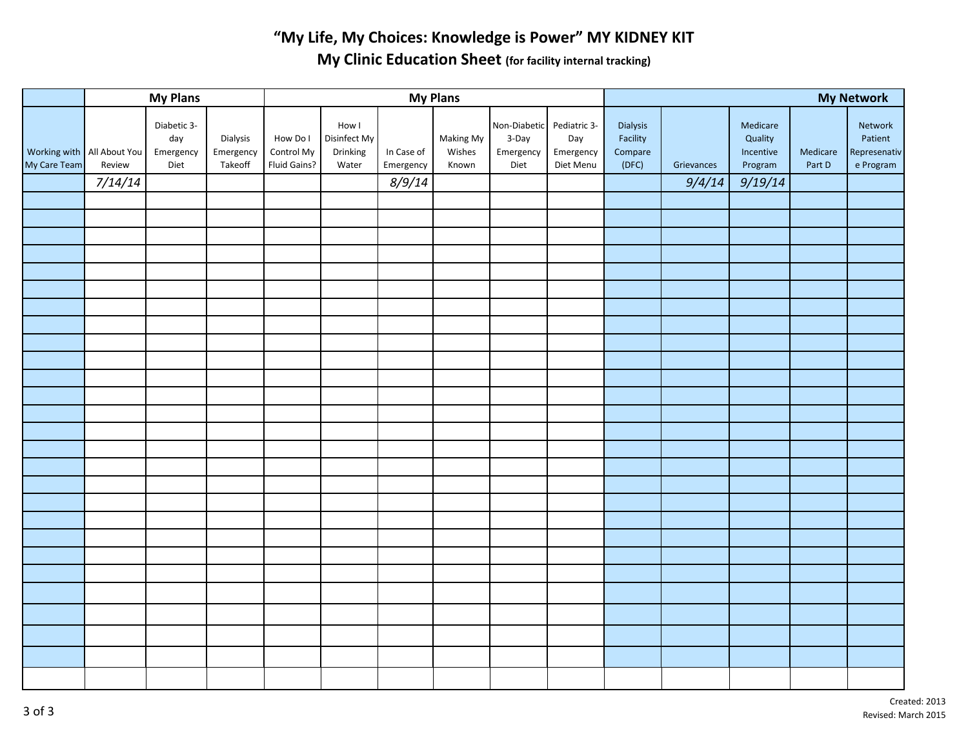## **"My Life, My Choices: Knowledge is Power" MY KIDNEY KIT My Clinic Education Sheet (for facility internal tracking)**

|              | <b>My Plans</b>                      |                                         |                                  | <b>My Plans</b>                        |                                            |            |                              |                                                         |                               | <b>My Network</b>               |            |                                  |                    |                                                 |
|--------------|--------------------------------------|-----------------------------------------|----------------------------------|----------------------------------------|--------------------------------------------|------------|------------------------------|---------------------------------------------------------|-------------------------------|---------------------------------|------------|----------------------------------|--------------------|-------------------------------------------------|
| My Care Team | Working with All About You<br>Review | Diabetic 3-<br>day<br>Emergency<br>Diet | Dialysis<br>Emergency<br>Takeoff | How Do I<br>Control My<br>Fluid Gains? | How I<br>Disinfect My<br>Drinking<br>Water | In Case of | Making My<br>Wishes<br>Known | Non-Diabetic Pediatric 3-<br>3-Day<br>Emergency<br>Diet | Day<br>Emergency<br>Diet Menu | Dialysis<br>Facility<br>Compare | Grievances | Medicare<br>Quality<br>Incentive | Medicare<br>Part D | Network<br>Patient<br>Represenativ<br>e Program |
|              |                                      |                                         |                                  |                                        |                                            | Emergency  |                              |                                                         |                               | (DFC)                           |            | Program                          |                    |                                                 |
|              | 7/14/14                              |                                         |                                  |                                        |                                            | 8/9/14     |                              |                                                         |                               |                                 | 9/4/14     | 9/19/14                          |                    |                                                 |
|              |                                      |                                         |                                  |                                        |                                            |            |                              |                                                         |                               |                                 |            |                                  |                    |                                                 |
|              |                                      |                                         |                                  |                                        |                                            |            |                              |                                                         |                               |                                 |            |                                  |                    |                                                 |
|              |                                      |                                         |                                  |                                        |                                            |            |                              |                                                         |                               |                                 |            |                                  |                    |                                                 |
|              |                                      |                                         |                                  |                                        |                                            |            |                              |                                                         |                               |                                 |            |                                  |                    |                                                 |
|              |                                      |                                         |                                  |                                        |                                            |            |                              |                                                         |                               |                                 |            |                                  |                    |                                                 |
|              |                                      |                                         |                                  |                                        |                                            |            |                              |                                                         |                               |                                 |            |                                  |                    |                                                 |
|              |                                      |                                         |                                  |                                        |                                            |            |                              |                                                         |                               |                                 |            |                                  |                    |                                                 |
|              |                                      |                                         |                                  |                                        |                                            |            |                              |                                                         |                               |                                 |            |                                  |                    |                                                 |
|              |                                      |                                         |                                  |                                        |                                            |            |                              |                                                         |                               |                                 |            |                                  |                    |                                                 |
|              |                                      |                                         |                                  |                                        |                                            |            |                              |                                                         |                               |                                 |            |                                  |                    |                                                 |
|              |                                      |                                         |                                  |                                        |                                            |            |                              |                                                         |                               |                                 |            |                                  |                    |                                                 |
|              |                                      |                                         |                                  |                                        |                                            |            |                              |                                                         |                               |                                 |            |                                  |                    |                                                 |
|              |                                      |                                         |                                  |                                        |                                            |            |                              |                                                         |                               |                                 |            |                                  |                    |                                                 |
|              |                                      |                                         |                                  |                                        |                                            |            |                              |                                                         |                               |                                 |            |                                  |                    |                                                 |
|              |                                      |                                         |                                  |                                        |                                            |            |                              |                                                         |                               |                                 |            |                                  |                    |                                                 |
|              |                                      |                                         |                                  |                                        |                                            |            |                              |                                                         |                               |                                 |            |                                  |                    |                                                 |
|              |                                      |                                         |                                  |                                        |                                            |            |                              |                                                         |                               |                                 |            |                                  |                    |                                                 |
|              |                                      |                                         |                                  |                                        |                                            |            |                              |                                                         |                               |                                 |            |                                  |                    |                                                 |
|              |                                      |                                         |                                  |                                        |                                            |            |                              |                                                         |                               |                                 |            |                                  |                    |                                                 |
|              |                                      |                                         |                                  |                                        |                                            |            |                              |                                                         |                               |                                 |            |                                  |                    |                                                 |
|              |                                      |                                         |                                  |                                        |                                            |            |                              |                                                         |                               |                                 |            |                                  |                    |                                                 |
|              |                                      |                                         |                                  |                                        |                                            |            |                              |                                                         |                               |                                 |            |                                  |                    |                                                 |
|              |                                      |                                         |                                  |                                        |                                            |            |                              |                                                         |                               |                                 |            |                                  |                    |                                                 |
|              |                                      |                                         |                                  |                                        |                                            |            |                              |                                                         |                               |                                 |            |                                  |                    |                                                 |
|              |                                      |                                         |                                  |                                        |                                            |            |                              |                                                         |                               |                                 |            |                                  |                    |                                                 |
|              |                                      |                                         |                                  |                                        |                                            |            |                              |                                                         |                               |                                 |            |                                  |                    |                                                 |